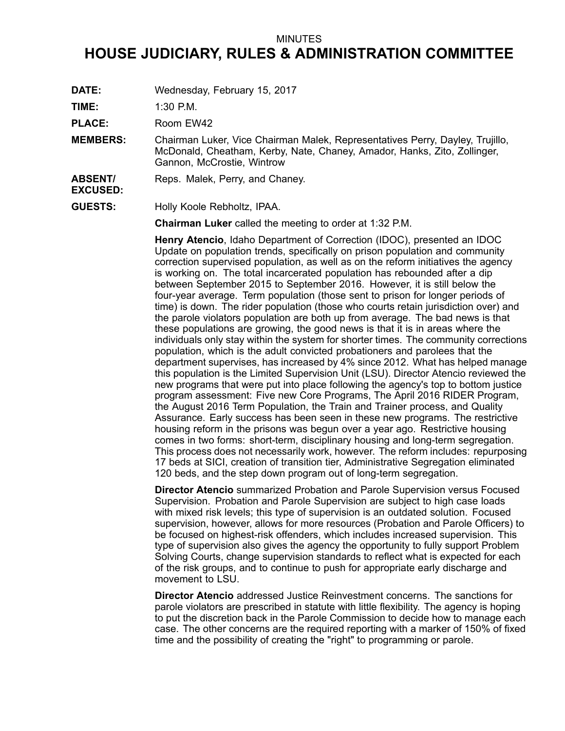## MINUTES

## **HOUSE JUDICIARY, RULES & ADMINISTRATION COMMITTEE**

**DATE:** Wednesday, February 15, 2017

**TIME:** 1:30 P.M.

PLACE: Room EW42

**MEMBERS:** Chairman Luker, Vice Chairman Malek, Representatives Perry, Dayley, Trujillo, McDonald, Cheatham, Kerby, Nate, Chaney, Amador, Hanks, Zito, Zollinger, Gannon, McCrostie, Wintrow

## **ABSENT/** Reps. Malek, Perry, and Chaney.

**EXCUSED:**

**GUESTS:** Holly Koole Rebholtz, IPAA.

**Chairman Luker** called the meeting to order at 1:32 P.M.

**Henry Atencio**, Idaho Department of Correction (IDOC), presented an IDOC Update on population trends, specifically on prison population and community correction supervised population, as well as on the reform initiatives the agency is working on. The total incarcerated population has rebounded after <sup>a</sup> dip between September 2015 to September 2016. However, it is still below the four-year average. Term population (those sent to prison for longer periods of time) is down. The rider population (those who courts retain jurisdiction over) and the parole violators population are both up from average. The bad news is that these populations are growing, the good news is that it is in areas where the individuals only stay within the system for shorter times. The community corrections population, which is the adult convicted probationers and parolees that the department supervises, has increased by 4% since 2012. What has helped manage this population is the Limited Supervision Unit (LSU). Director Atencio reviewed the new programs that were put into place following the agency's top to bottom justice program assessment: Five new Core Programs, The April 2016 RIDER Program, the August 2016 Term Population, the Train and Trainer process, and Quality Assurance. Early success has been seen in these new programs. The restrictive housing reform in the prisons was begun over <sup>a</sup> year ago. Restrictive housing comes in two forms: short-term, disciplinary housing and long-term segregation. This process does not necessarily work, however. The reform includes: repurposing 17 beds at SICI, creation of transition tier, Administrative Segregation eliminated 120 beds, and the step down program out of long-term segregation.

**Director Atencio** summarized Probation and Parole Supervision versus Focused Supervision. Probation and Parole Supervision are subject to high case loads with mixed risk levels; this type of supervision is an outdated solution. Focused supervision, however, allows for more resources (Probation and Parole Officers) to be focused on highest-risk offenders, which includes increased supervision. This type of supervision also gives the agency the opportunity to fully support Problem Solving Courts, change supervision standards to reflect what is expected for each of the risk groups, and to continue to push for appropriate early discharge and movement to LSU.

**Director Atencio** addressed Justice Reinvestment concerns. The sanctions for parole violators are prescribed in statute with little flexibility. The agency is hoping to put the discretion back in the Parole Commission to decide how to manage each case. The other concerns are the required reporting with <sup>a</sup> marker of 150% of fixed time and the possibility of creating the "right" to programming or parole.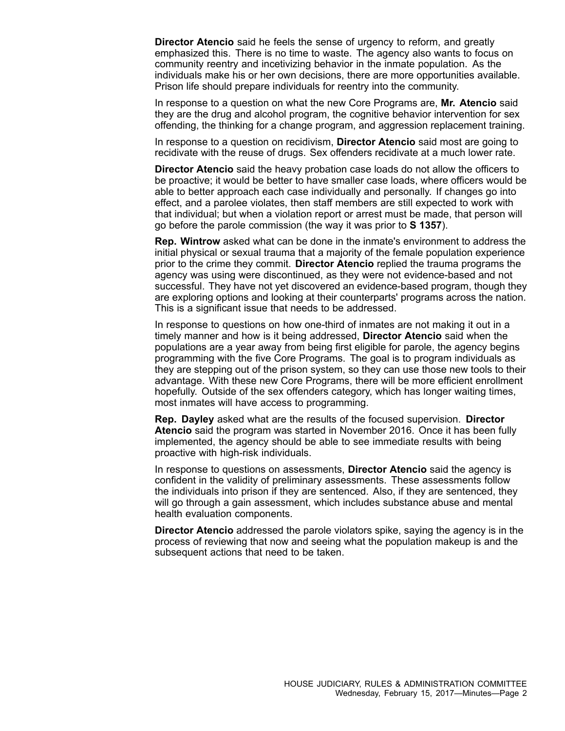**Director Atencio** said he feels the sense of urgency to reform, and greatly emphasized this. There is no time to waste. The agency also wants to focus on community reentry and incetivizing behavior in the inmate population. As the individuals make his or her own decisions, there are more opportunities available. Prison life should prepare individuals for reentry into the community.

In response to <sup>a</sup> question on what the new Core Programs are, **Mr. Atencio** said they are the drug and alcohol program, the cognitive behavior intervention for sex offending, the thinking for <sup>a</sup> change program, and aggression replacement training.

In response to <sup>a</sup> question on recidivism, **Director Atencio** said most are going to recidivate with the reuse of drugs. Sex offenders recidivate at <sup>a</sup> much lower rate.

**Director Atencio** said the heavy probation case loads do not allow the officers to be proactive; it would be better to have smaller case loads, where officers would be able to better approach each case individually and personally. If changes go into effect, and <sup>a</sup> parolee violates, then staff members are still expected to work with that individual; but when <sup>a</sup> violation report or arrest must be made, that person will go before the parole commission (the way it was prior to **S 1357**).

**Rep. Wintrow** asked what can be done in the inmate's environment to address the initial physical or sexual trauma that <sup>a</sup> majority of the female population experience prior to the crime they commit. **Director Atencio** replied the trauma programs the agency was using were discontinued, as they were not evidence-based and not successful. They have not yet discovered an evidence-based program, though they are exploring options and looking at their counterparts' programs across the nation. This is <sup>a</sup> significant issue that needs to be addressed.

In response to questions on how one-third of inmates are not making it out in <sup>a</sup> timely manner and how is it being addressed, **Director Atencio** said when the populations are <sup>a</sup> year away from being first eligible for parole, the agency begins programming with the five Core Programs. The goal is to program individuals as they are stepping out of the prison system, so they can use those new tools to their advantage. With these new Core Programs, there will be more efficient enrollment hopefully. Outside of the sex offenders category, which has longer waiting times, most inmates will have access to programming.

**Rep. Dayley** asked what are the results of the focused supervision. **Director Atencio** said the program was started in November 2016. Once it has been fully implemented, the agency should be able to see immediate results with being proactive with high-risk individuals.

In response to questions on assessments, **Director Atencio** said the agency is confident in the validity of preliminary assessments. These assessments follow the individuals into prison if they are sentenced. Also, if they are sentenced, they will go through <sup>a</sup> gain assessment, which includes substance abuse and mental health evaluation components.

**Director Atencio** addressed the parole violators spike, saying the agency is in the process of reviewing that now and seeing what the population makeup is and the subsequent actions that need to be taken.